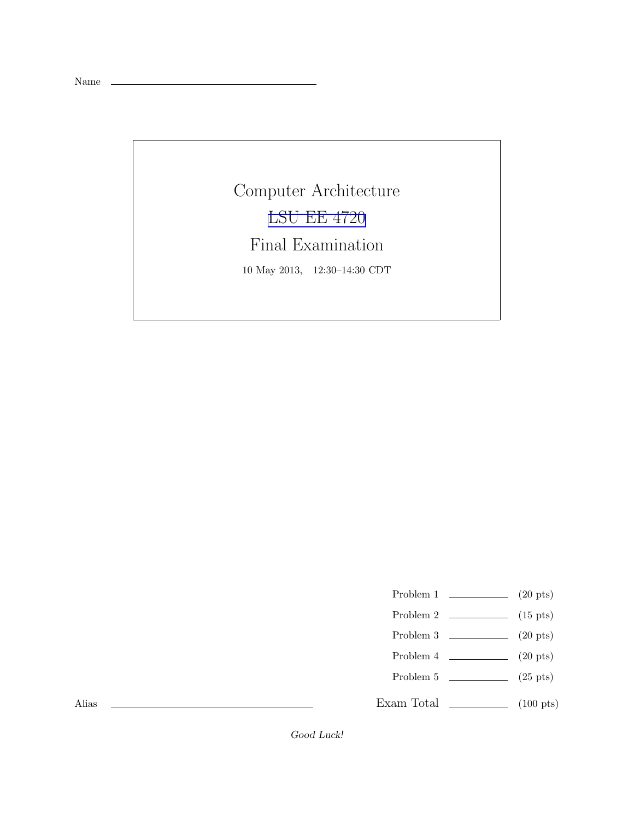Name

Computer Architecture [LSU EE 4720](http://www.ece.lsu.edu/ee4720/) Final Examination 10 May 2013, 12:30–14:30 CDT

Problem 1  $\qquad \qquad$  (20 pts)

- Problem 2  $\qquad \qquad$  (15 pts)
- Problem 3 (20 pts)
- Problem 4  $\qquad \qquad (20 \text{ pts})$
- Problem 5 (25 pts)

Exam Total \_\_\_\_\_\_\_\_\_\_\_\_\_ (100 pts)

Alias

Good Luck!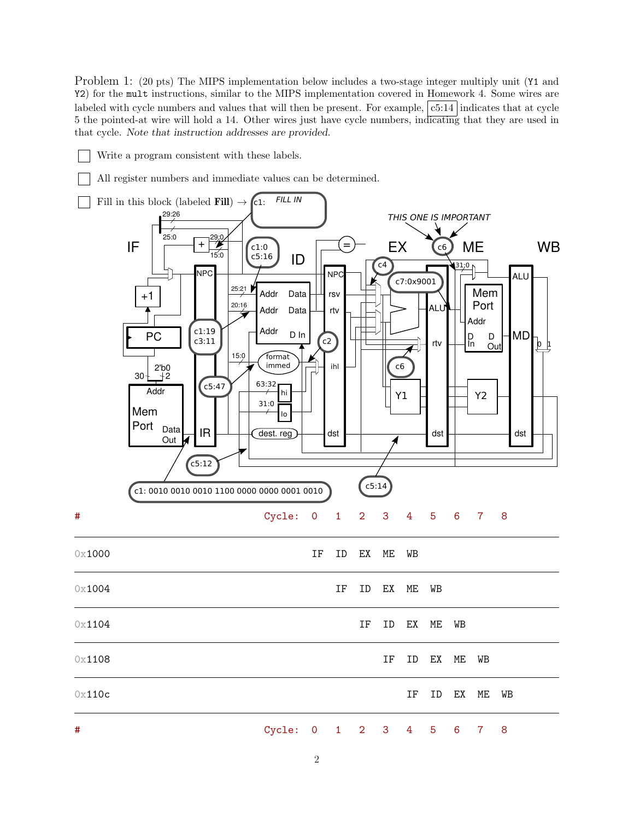Problem 1: (20 pts) The MIPS implementation below includes a two-stage integer multiply unit (Y1 and Y2) for the mult instructions, similar to the MIPS implementation covered in Homework 4. Some wires are labeled with cycle numbers and values that will then be present. For example,  $|c5:14|$  indicates that at cycle 5 the pointed-at wire will hold a 14. Other wires just have cycle numbers, indicating that they are used in that cycle. Note that instruction addresses are provided.

- Write a program consistent with these labels.
- All register numbers and immediate values can be determined.

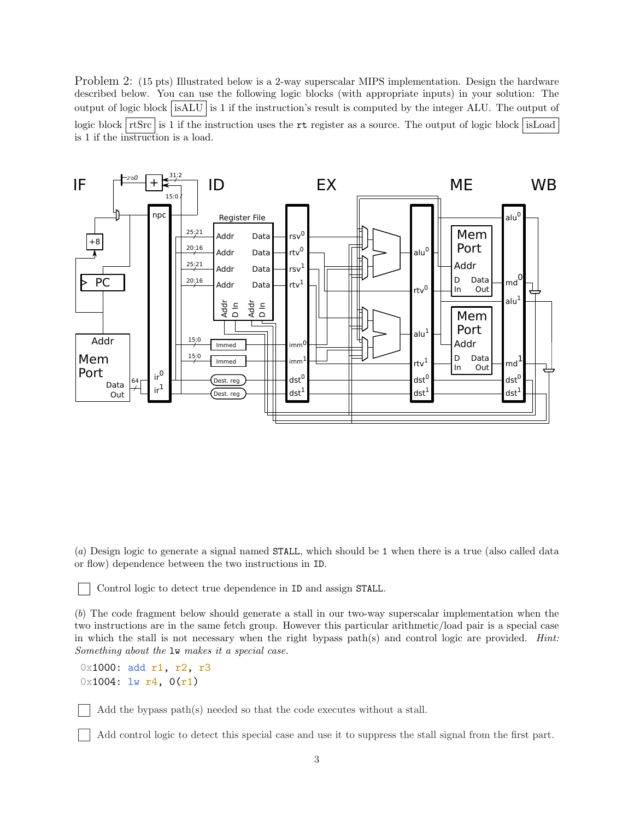Problem 2: (15 pts) Illustrated below is a 2-way superscalar MIPS implementation. Design the hardware described below. You can use the following logic blocks (with appropriate inputs) in your solution: The output of logic block isALU is 1 if the instruction's result is computed by the integer ALU. The output of logic block  $rtsrcs$  is 1 if the instruction uses the rt register as a source. The output of logic block isLoad is 1 if the instruction is a load.



(*a*) Design logic to generate a signal named STALL, which should be 1 when there is a true (also called data or flow) dependence between the two instructions in ID.

Control logic to detect true dependence in ID and assign STALL.

(*b*) The code fragment below should generate a stall in our two-way superscalar implementation when the two instructions are in the same fetch group. However this particular arithmetic/load pair is a special case in which the stall is not necessary when the right bypass path(s) and control logic are provided. *Hint: Something about the* lw *makes it a special case.*

0x1000: add r1, r2, r3  $0x1004: 1w r4, 0(r1)$ 

Add the bypass path(s) needed so that the code executes without a stall.

Add control logic to detect this special case and use it to suppress the stall signal from the first part.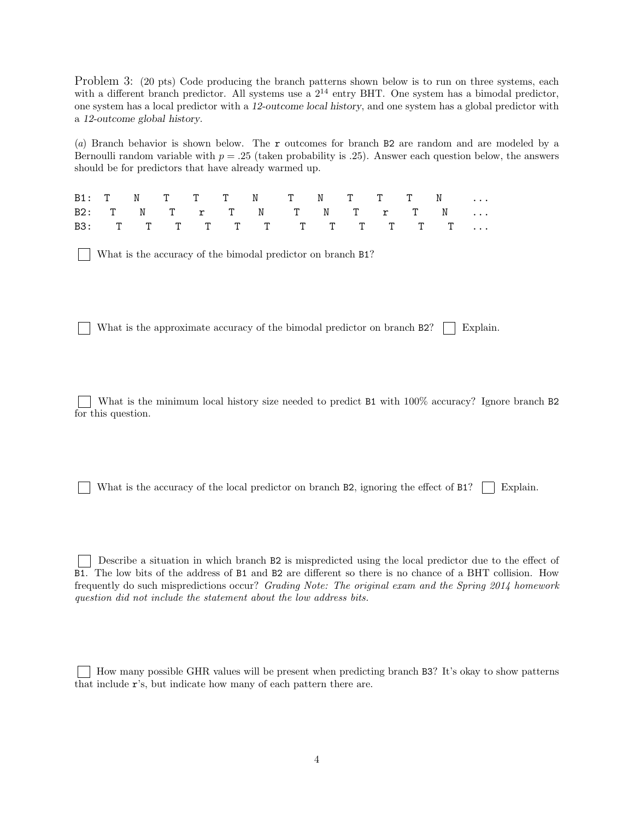Problem 3: (20 pts) Code producing the branch patterns shown below is to run on three systems, each with a different branch predictor. All systems use a  $2^{14}$  entry BHT. One system has a bimodal predictor. one system has a local predictor with a 12-outcome local history, and one system has a global predictor with a 12-outcome global history.

(*a*) Branch behavior is shown below. The r outcomes for branch B2 are random and are modeled by a Bernoulli random variable with  $p = .25$  (taken probability is .25). Answer each question below, the answers should be for predictors that have already warmed up.

|  |  |  | B1: T N T T T N T N T T T N   |  |  |  |
|--|--|--|-------------------------------|--|--|--|
|  |  |  | B2: T N T T T N T N T T T N   |  |  |  |
|  |  |  | B3: T T T T T T T T T T T T T |  |  |  |

What is the accuracy of the bimodal predictor on branch B1?

What is the approximate accuracy of the bimodal predictor on branch  $B2$ ? Explain.

What is the minimum local history size needed to predict B1 with  $100\%$  accuracy? Ignore branch B2 for this question.

What is the accuracy of the local predictor on branch B2, ignoring the effect of B1?  $\Box$  Explain.

Describe a situation in which branch B2 is mispredicted using the local predictor due to the effect of B1. The low bits of the address of B1 and B2 are different so there is no chance of a BHT collision. How frequently do such mispredictions occur? *Grading Note: The original exam and the Spring 2014 homework question did not include the statement about the low address bits.*

How many possible GHR values will be present when predicting branch B3? It's okay to show patterns that include r's, but indicate how many of each pattern there are.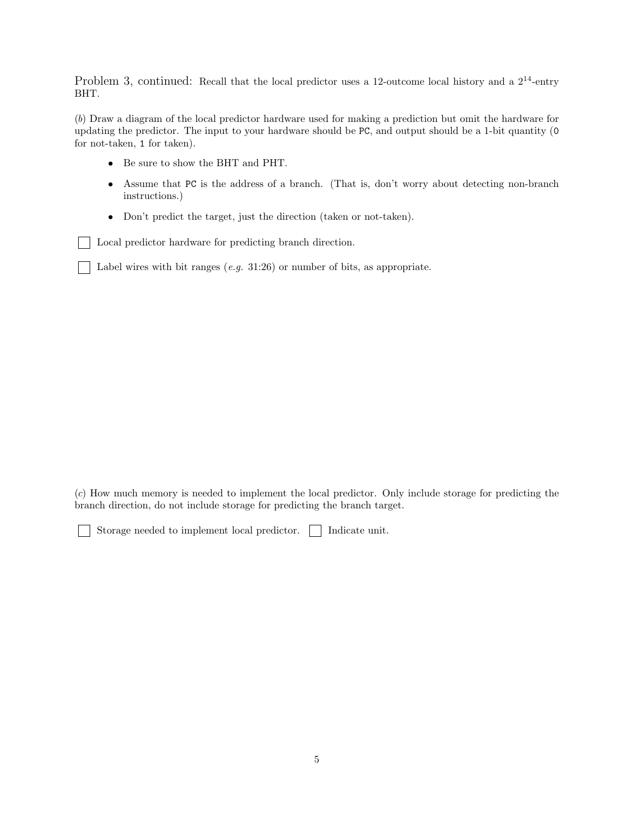Problem 3, continued: Recall that the local predictor uses a 12-outcome local history and a  $2^{14}$ -entry BHT.

(*b*) Draw a diagram of the local predictor hardware used for making a prediction but omit the hardware for updating the predictor. The input to your hardware should be PC, and output should be a 1-bit quantity (0 for not-taken, 1 for taken).

- Be sure to show the BHT and PHT.
- Assume that PC is the address of a branch. (That is, don't worry about detecting non-branch instructions.)
- Don't predict the target, just the direction (taken or not-taken).

Local predictor hardware for predicting branch direction.

Label wires with bit ranges (*e.g.* 31:26) or number of bits, as appropriate.

(*c*) How much memory is needed to implement the local predictor. Only include storage for predicting the branch direction, do not include storage for predicting the branch target.

Storage needed to implement local predictor.  $\Box$  Indicate unit.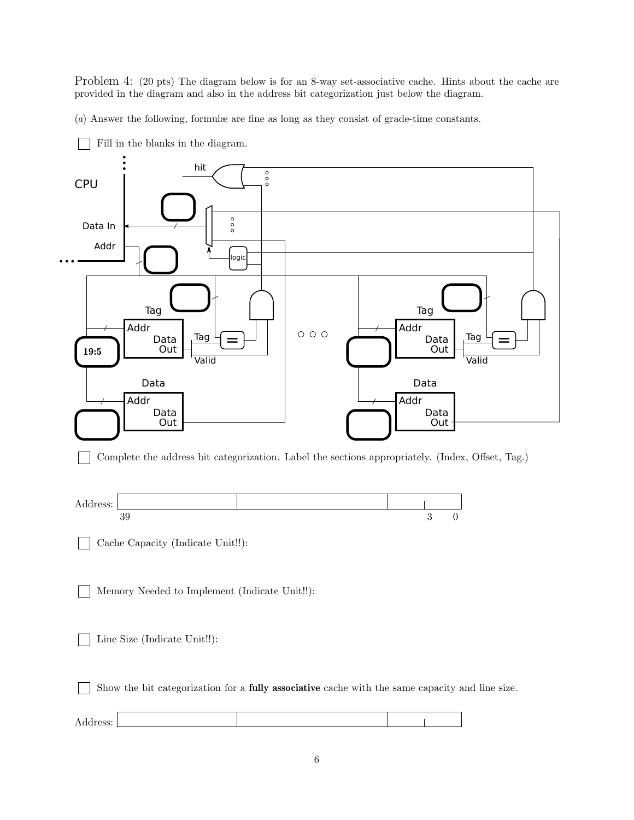Problem 4: (20 pts) The diagram below is for an 8-way set-associative cache. Hints about the cache are provided in the diagram and also in the address bit categorization just below the diagram.

(*a*) Answer the following, formulæ are fine as long as they consist of grade-time constants.

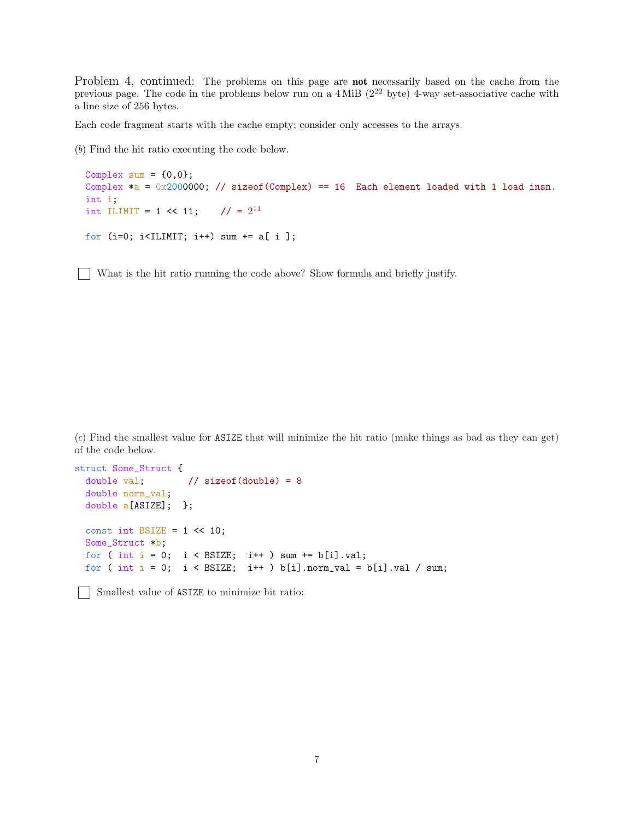Problem 4, continued: The problems on this page are **not** necessarily based on the cache from the previous page. The code in the problems below run on a  $4 \text{ MiB}$  ( $2^{22}$  byte) 4-way set-associative cache with a line size of 256 bytes.

Each code fragment starts with the cache empty; consider only accesses to the arrays.

(*b*) Find the hit ratio executing the code below.

```
Complex sum = \{0,0\};
Complex a = 0x2000000; // sizeof(Complex) == 16 Each element loaded with 1 load insn.
int i;
int ILIMIT = 1 << 11; // = 2^{11}for (i=0; i<ILIMIT; i++) sum += a[ i ];
```
What is the hit ratio running the code above? Show formula and briefly justify.

(*c*) Find the smallest value for ASIZE that will minimize the hit ratio (make things as bad as they can get) of the code below.

```
struct Some_Struct {
 double val; // sizeof(double) = 8
 double norm_val;
 double a[ASIZE]; };
 const int BSIZE = 1 \leq 10;
 Some_Struct *b;
 for ( int i = 0; i < BSIZE; i++) sum += b[i].val;for ( int i = 0; i < BSIZE; i++) b[i].norm_val = b[i].val / sum;
```
Smallest value of ASIZE to minimize hit ratio: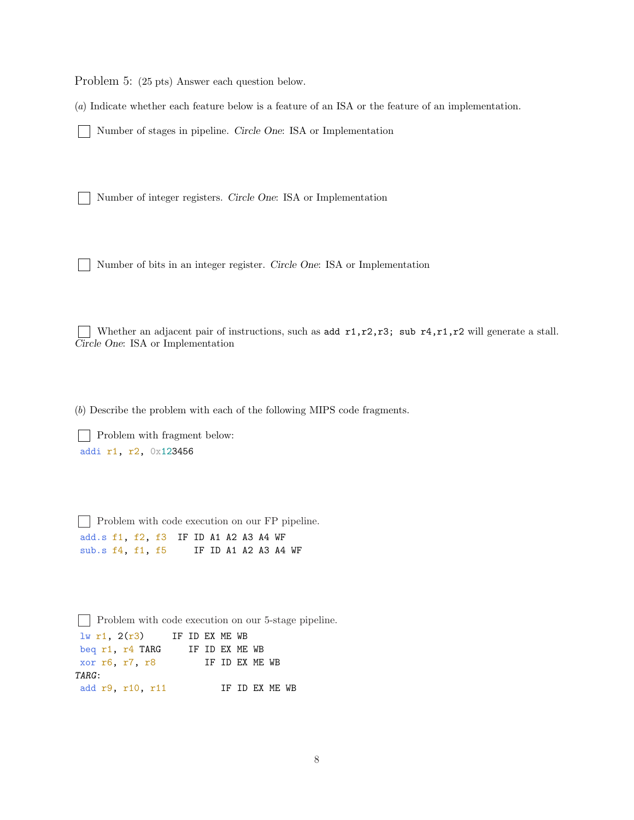Problem 5: (25 pts) Answer each question below.

(*a*) Indicate whether each feature below is a feature of an ISA or the feature of an implementation.

Number of stages in pipeline. Circle One: ISA or Implementation

Number of integer registers. Circle One: ISA or Implementation

Number of bits in an integer register. Circle One: ISA or Implementation

Whether an adjacent pair of instructions, such as add  $r1, r2, r3$ ; sub  $r4, r1, r2$  will generate a stall. Circle One: ISA or Implementation

(*b*) Describe the problem with each of the following MIPS code fragments.

| Problem with fragment below: addi r1, r2, 0x123456

Problem with code execution on our FP pipeline. add.s f1, f2, f3 IF ID A1 A2 A3 A4 WF sub.s f4, f1, f5 IF ID A1 A2 A3 A4 WF

**Problem with code execution on our 5-stage pipeline.**  $lw$  r1,  $2(r3)$  IF ID EX ME WB beq r1, r4 TARG IF ID EX ME WB xor r6, r7, r8 IF ID EX ME WB TARG: add r9, r10, r11 IF ID EX ME WB